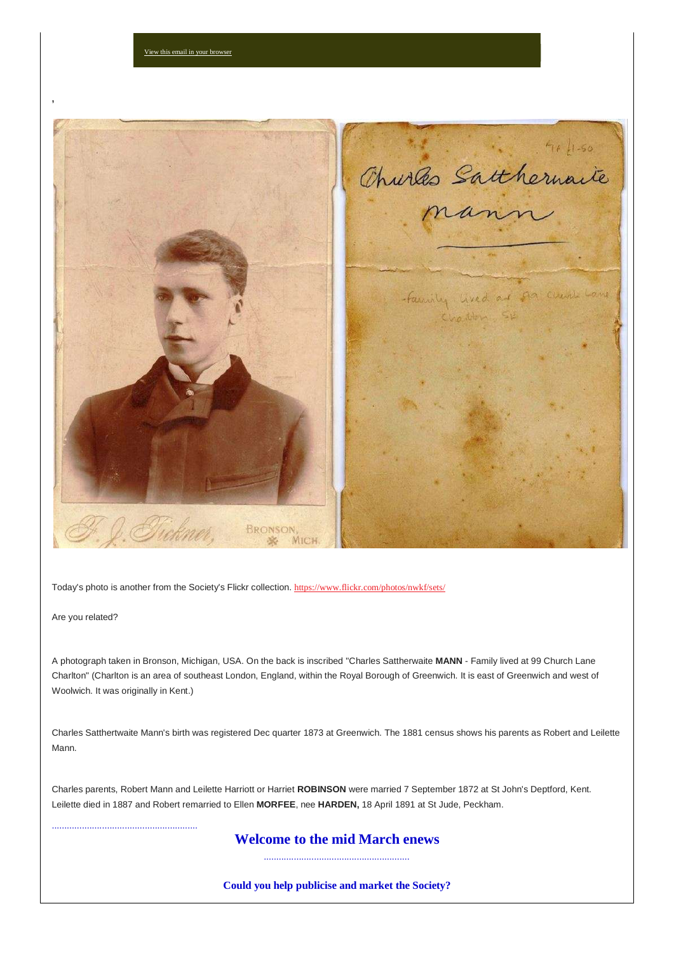

Today's photo is another from the Society's Flickr collection. [https://www.flickr.com/photos/nwkf/sets/](https://nwkfhs.us4.list-manage.com/track/click?u=cde10858510442d6e71f0f3a6&id=df8a8f4f84&e=a709ee61ff)

View this email in your brow

Are you related?

..........................................................

A photograph taken in Bronson, Michigan, USA. On the back is inscribed "Charles Sattherwaite **MANN** - Family lived at 99 Church Lane Charlton" (Charlton is an area of southeast London, England, within the Royal Borough of Greenwich. It is east of Greenwich and west of Woolwich. It was originally in Kent.)

Charles Satthertwaite Mann's birth was registered Dec quarter 1873 at Greenwich. The 1881 census shows his parents as Robert and Leilette Mann.

Charles parents, Robert Mann and Leilette Harriott or Harriet **ROBINSON** were married 7 September 1872 at St John's Deptford, Kent. Leilette died in 1887 and Robert remarried to Ellen **MORFEE**, nee **HARDEN,** 18 April 1891 at St Jude, Peckham.

# **Welcome to the mid March enews** ..........................................................

**Could you help publicise and market the Society?**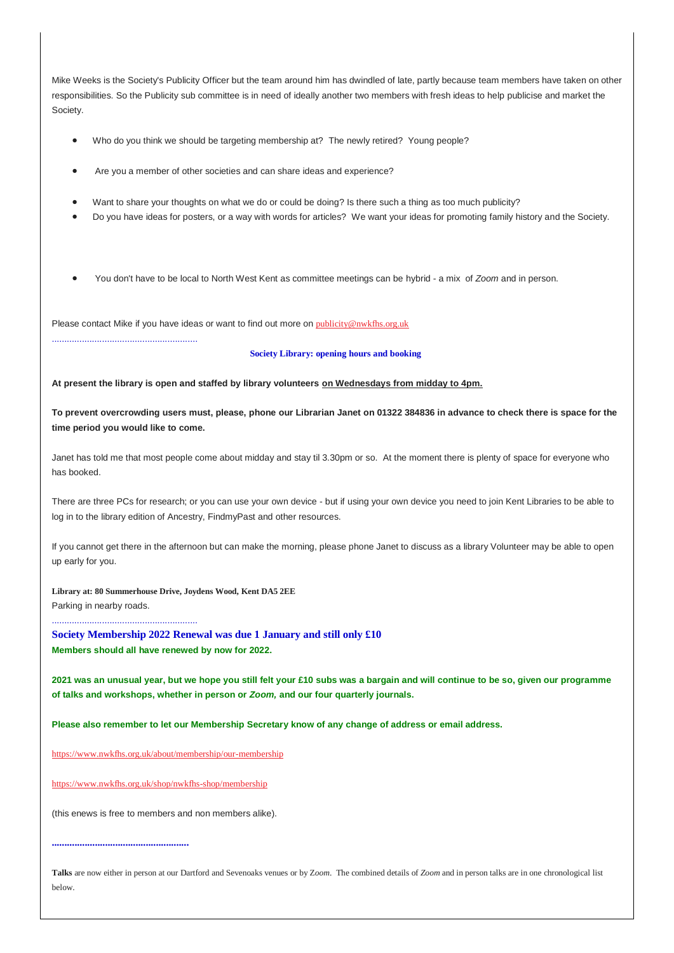Mike Weeks is the Society's Publicity Officer but the team around him has dwindled of late, partly because team members have taken on other responsibilities. So the Publicity sub committee is in need of ideally another two members with fresh ideas to help publicise and market the Society.

- Who do you think we should be targeting membership at? The newly retired? Young people?
- Are you a member of other societies and can share ideas and experience?
- Want to share your thoughts on what we do or could be doing? Is there such a thing as too much publicity?
- Do you have ideas for posters, or a way with words for articles? We want your ideas for promoting family history and the Society.
- You don't have to be local to North West Kent as committee meetings can be hybrid a mix of *Zoom* and in person.

Please contact Mike if you have ideas or want to find out more on [publicity@nwkfhs.org.uk](mailto:publicity@nwkfhs.org.uk?subject=Publicity%20and%20Marketing)

#### **Society Library: opening hours and booking**

**At present the library is open and staffed by library volunteers on Wednesdays from midday to 4pm.**

**To prevent overcrowding users must, please, phone our Librarian Janet on 01322 384836 in advance to check there is space for the time period you would like to come.**

Janet has told me that most people come about midday and stay til 3.30pm or so. At the moment there is plenty of space for everyone who has booked.

There are three PCs for research; or you can use your own device - but if using your own device you need to join Kent Libraries to be able to log in to the library edition of Ancestry, FindmyPast and other resources.

If you cannot get there in the afternoon but can make the morning, please phone Janet to discuss as a library Volunteer may be able to open up early for you.

**Library at: 80 Summerhouse Drive, Joydens Wood, Kent DA5 2EE**

Parking in nearby roads.

..........................................................

..........................................................

**Society Membership 2022 Renewal was due 1 January and still only £10 Members should all have renewed by now for 2022.**

**2021 was an unusual year, but we hope you still felt your £10 subs was a bargain and will continue to be so, given our programme of talks and workshops, whether in person or** *Zoom,* **and our four quarterly journals.**

**Please also remember to let our Membership Secretary know of any change of address or email address.**

[https://www.nwkfhs.org.uk/about/membership/our-membership](https://nwkfhs.us4.list-manage.com/track/click?u=cde10858510442d6e71f0f3a6&id=5fe470a630&e=a709ee61ff)

[https://www.nwkfhs.org.uk/shop/nwkfhs-shop/membership](https://nwkfhs.us4.list-manage.com/track/click?u=cde10858510442d6e71f0f3a6&id=569e950cb3&e=a709ee61ff)

(this enews is free to members and non members alike).

#### **......................................................**

**Talks** are now either in person at our Dartford and Sevenoaks venues or by Z*oom*. The combined details of *Zoom* and in person talks are in one chronological list below.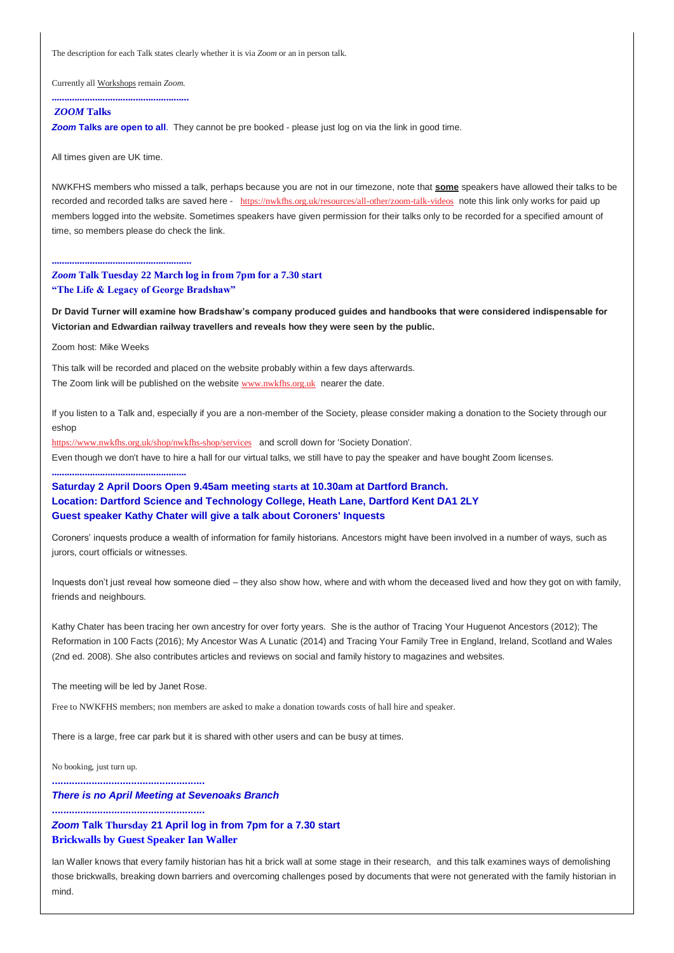The description for each Talk states clearly whether it is via *Zoom* or an in person talk.

Currently all Workshops remain *Zoom*.

# **......................................................**

# *ZOOM* **Talks**

**Zoom Talks are open to all**. They cannot be pre booked - please just log on via the link in good time.

All times given are UK time.

NWKFHS members who missed a talk, perhaps because you are not in our timezone, note that **some** speakers have allowed their talks to be recorded and recorded talks are saved here - [https://nwkfhs.org.uk/resources/all-other/zoom-talk-videos](https://nwkfhs.us4.list-manage.com/track/click?u=cde10858510442d6e71f0f3a6&id=c55d1d8b31&e=a709ee61ff) note this link only works for paid up members logged into the website. Sometimes speakers have given permission for their talks only to be recorded for a specified amount of time, so members please do check the link.

#### **.......................................................**

*Zoom* **Talk Tuesday 22 March log in from 7pm for a 7.30 start "The Life & Legacy of George Bradshaw"**

**Dr David Turner will examine how Bradshaw's company produced guides and handbooks that were considered indispensable for Victorian and Edwardian railway travellers and reveals how they were seen by the public.**

Zoom host: Mike Weeks

**.....................................................**

This talk will be recorded and placed on the website probably within a few days afterwards. The Zoom link will be published on the website [www.nwkfhs.org.uk](https://nwkfhs.us4.list-manage.com/track/click?u=cde10858510442d6e71f0f3a6&id=b630185942&e=a709ee61ff) nearer the date.

If you listen to a Talk and, especially if you are a non-member of the Society, please consider making a donation to the Society through our eshop

[https://www.nwkfhs.org.uk/shop/nwkfhs-shop/services](https://nwkfhs.us4.list-manage.com/track/click?u=cde10858510442d6e71f0f3a6&id=af9b754789&e=a709ee61ff) and scroll down for 'Society Donation'. Even though we don't have to hire a hall for our virtual talks, we still have to pay the speaker and have bought Zoom licenses.

# **Saturday 2 April Doors Open 9.45am meeting starts at 10.30am at Dartford Branch. Location: Dartford Science and Technology College, Heath Lane, Dartford Kent DA1 2LY Guest speaker Kathy Chater will give a talk about Coroners' Inquests**

Coroners' inquests produce a wealth of information for family historians. Ancestors might have been involved in a number of ways, such as jurors, court officials or witnesses.

Inquests don't just reveal how someone died – they also show how, where and with whom the deceased lived and how they got on with family, friends and neighbours.

Kathy Chater has been tracing her own ancestry for over forty years. She is the author of Tracing Your Huguenot Ancestors (2012); The Reformation in 100 Facts (2016); My Ancestor Was A Lunatic (2014) and Tracing Your Family Tree in England, Ireland, Scotland and Wales (2nd ed. 2008). She also contributes articles and reviews on social and family history to magazines and websites.

The meeting will be led by Janet Rose.

Free to NWKFHS members; non members are asked to make a donation towards costs of hall hire and speaker.

There is a large, free car park but it is shared with other users and can be busy at times.

No booking, just turn up.

**......................................................**

**......................................................**

*There is no April Meeting at Sevenoaks Branch*

*Zoom* **Talk Thursday 21 April log in from 7pm for a 7.30 start Brickwalls by Guest Speaker Ian Waller**

Ian Waller knows that every family historian has hit a brick wall at some stage in their research, and this talk examines ways of demolishing those brickwalls, breaking down barriers and overcoming challenges posed by documents that were not generated with the family historian in mind.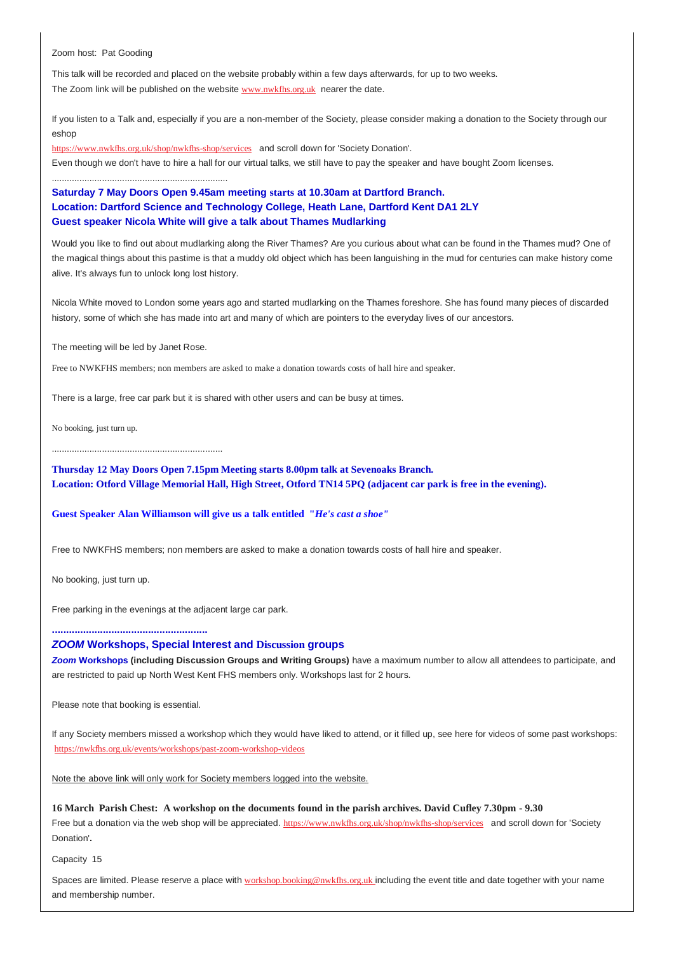Zoom host: Pat Gooding

This talk will be recorded and placed on the website probably within a few days afterwards, for up to two weeks. The Zoom link will be published on the website [www.nwkfhs.org.uk](https://nwkfhs.us4.list-manage.com/track/click?u=cde10858510442d6e71f0f3a6&id=0a38680892&e=a709ee61ff) nearer the date.

If you listen to a Talk and, especially if you are a non-member of the Society, please consider making a donation to the Society through our eshop

[https://www.nwkfhs.org.uk/shop/nwkfhs-shop/services](https://nwkfhs.us4.list-manage.com/track/click?u=cde10858510442d6e71f0f3a6&id=5320967475&e=a709ee61ff) and scroll down for 'Society Donation'.

Even though we don't have to hire a hall for our virtual talks, we still have to pay the speaker and have bought Zoom licenses.

# **Saturday 7 May Doors Open 9.45am meeting starts at 10.30am at Dartford Branch. Location: Dartford Science and Technology College, Heath Lane, Dartford Kent DA1 2LY Guest speaker Nicola White will give a talk about Thames Mudlarking**

Would you like to find out about mudlarking along the River Thames? Are you curious about what can be found in the Thames mud? One of the magical things about this pastime is that a muddy old object which has been languishing in the mud for centuries can make history come alive. It's always fun to unlock long lost history.

Nicola White moved to London some years ago and started mudlarking on the Thames foreshore. She has found many pieces of discarded history, some of which she has made into art and many of which are pointers to the everyday lives of our ancestors.

The meeting will be led by Janet Rose.

......................................................................

Free to NWKFHS members; non members are asked to make a donation towards costs of hall hire and speaker.

There is a large, free car park but it is shared with other users and can be busy at times.

No booking, just turn up.

....................................................................

**Thursday 12 May Doors Open 7.15pm Meeting starts 8.00pm talk at Sevenoaks Branch. Location: Otford Village Memorial Hall, High Street, Otford TN14 5PQ (adjacent car park is free in the evening).**

## **Guest Speaker Alan Williamson will give us a talk entitled "***He's cast a shoe"*

Free to NWKFHS members; non members are asked to make a donation towards costs of hall hire and speaker.

No booking, just turn up.

Free parking in the evenings at the adjacent large car park.

**.......................................................**

# *ZOOM* **Workshops, Special Interest and Discussion groups**

*Zoom* **Workshops (including Discussion Groups and Writing Groups)** have a maximum number to allow all attendees to participate, and are restricted to paid up North West Kent FHS members only. Workshops last for 2 hours.

Please note that booking is essential.

If any Society members missed a workshop which they would have liked to attend, or it filled up, see here for videos of some past workshops: [https://nwkfhs.org.uk/events/workshops/past-zoom-workshop-videos](https://nwkfhs.us4.list-manage.com/track/click?u=cde10858510442d6e71f0f3a6&id=c5f236022e&e=a709ee61ff)

Note the above link will only work for Society members logged into the website.

#### **16 March Parish Chest: A workshop on the documents found in the parish archives. David Cufley 7.30pm - 9.30**

Free but a donation via the web shop will be appreciated. [https://www.nwkfhs.org.uk/shop/nwkfhs-shop/services](https://nwkfhs.us4.list-manage.com/track/click?u=cde10858510442d6e71f0f3a6&id=b365b274ee&e=a709ee61ff) and scroll down for 'Society Donation'**.**

Capacity 15

Spaces are limited. Please reserve a place with [workshop.booking@nwkfhs.org.uk](mailto:workshop.booking@nwkfhs.org.uk?subject=Workshop%3A%20Parish%20Chest%2016%20March) including the event title and date together with your name and membership number.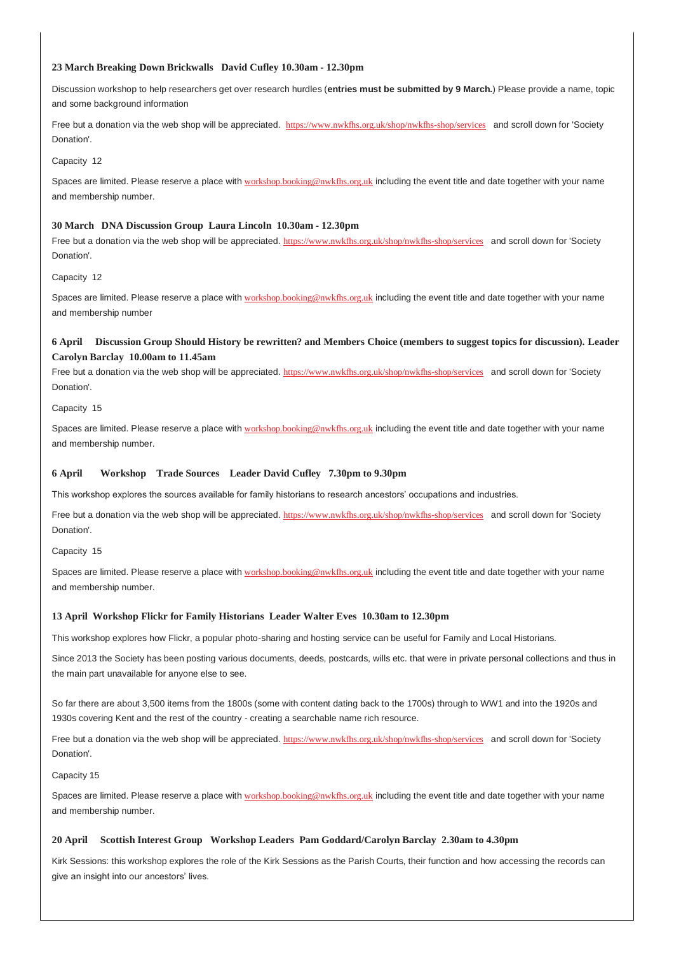### **23 March Breaking Down Brickwalls David Cufley 10.30am - 12.30pm**

Discussion workshop to help researchers get over research hurdles (**entries must be submitted by 9 March.**) Please provide a name, topic and some background information

Free but a donation via the web shop will be appreciated. [https://www.nwkfhs.org.uk/shop/nwkfhs-shop/services](https://nwkfhs.us4.list-manage.com/track/click?u=cde10858510442d6e71f0f3a6&id=5cf79c76ac&e=a709ee61ff) and scroll down for 'Society Donation'.

Capacity 12

Spaces are limited. Please reserve a place with [workshop.booking@nwkfhs.org.uk](mailto:workshop.booking@nwkfhs.org.uk?subject=Workshop%3A%20Breaking%20Down%20Brick%20Walls%2023%20March) including the event title and date together with your name and membership number.

#### **30 March DNA Discussion Group Laura Lincoln 10.30am - 12.30pm**

Free but a donation via the web shop will be appreciated. [https://www.nwkfhs.org.uk/shop/nwkfhs-shop/services](https://nwkfhs.us4.list-manage.com/track/click?u=cde10858510442d6e71f0f3a6&id=fd38fda8db&e=a709ee61ff) and scroll down for 'Society Donation'.

### Capacity 12

Spaces are limited. Please reserve a place with [workshop.booking@nwkfhs.org.uk](mailto:workshop.booking@nwkfhs.org.uk?subject=DNA%20Discussion%20Group%20on%2030%20March) including the event title and date together with your name and membership number

# **6 April Discussion Group Should History be rewritten? and Members Choice (members to suggest topics for discussion). Leader Carolyn Barclay 10.00am to 11.45am**

Free but a donation via the web shop will be appreciated. [https://www.nwkfhs.org.uk/shop/nwkfhs-shop/services](https://nwkfhs.us4.list-manage.com/track/click?u=cde10858510442d6e71f0f3a6&id=f80704c27e&e=a709ee61ff) and scroll down for 'Society Donation'.

Capacity 15

Spaces are limited. Please reserve a place with [workshop.booking@nwkfhs.org.uk](mailto:workshop.booking@nwkfhs.org.uk?subject=6%20April%20Discussion%20group) including the event title and date together with your name and membership number.

#### **6 April Workshop Trade Sources Leader David Cufley 7.30pm to 9.30pm**

This workshop explores the sources available for family historians to research ancestors' occupations and industries.

Free but a donation via the web shop will be appreciated. [https://www.nwkfhs.org.uk/shop/nwkfhs-shop/services](https://nwkfhs.us4.list-manage.com/track/click?u=cde10858510442d6e71f0f3a6&id=5572dd6cab&e=a709ee61ff) and scroll down for 'Society Donation'.

#### Capacity 15

Spaces are limited. Please reserve a place with [workshop.booking@nwkfhs.org.uk](mailto:workshop.booking@nwkfhs.org.uk?subject=6%20April%20Trade%20Sources) including the event title and date together with your name and membership number.

#### **13 April Workshop Flickr for Family Historians Leader Walter Eves 10.30am to 12.30pm**

This workshop explores how Flickr, a popular photo-sharing and hosting service can be useful for Family and Local Historians.

Since 2013 the Society has been posting various documents, deeds, postcards, wills etc. that were in private personal collections and thus in the main part unavailable for anyone else to see.

So far there are about 3,500 items from the 1800s (some with content dating back to the 1700s) through to WW1 and into the 1920s and 1930s covering Kent and the rest of the country - creating a searchable name rich resource.

Free but a donation via the web shop will be appreciated. [https://www.nwkfhs.org.uk/shop/nwkfhs-shop/services](https://nwkfhs.us4.list-manage.com/track/click?u=cde10858510442d6e71f0f3a6&id=03d7338e74&e=a709ee61ff) and scroll down for 'Society Donation'.

#### Capacity 15

Spaces are limited. Please reserve a place with [workshop.booking@nwkfhs.org.uk](mailto:workshop.booking@nwkfhs.org.uk?subject=13%20April%20Flickr) including the event title and date together with your name and membership number.

#### **20 April Scottish Interest Group Workshop Leaders Pam Goddard/Carolyn Barclay 2.30am to 4.30pm**

Kirk Sessions: this workshop explores the role of the Kirk Sessions as the Parish Courts, their function and how accessing the records can give an insight into our ancestors' lives.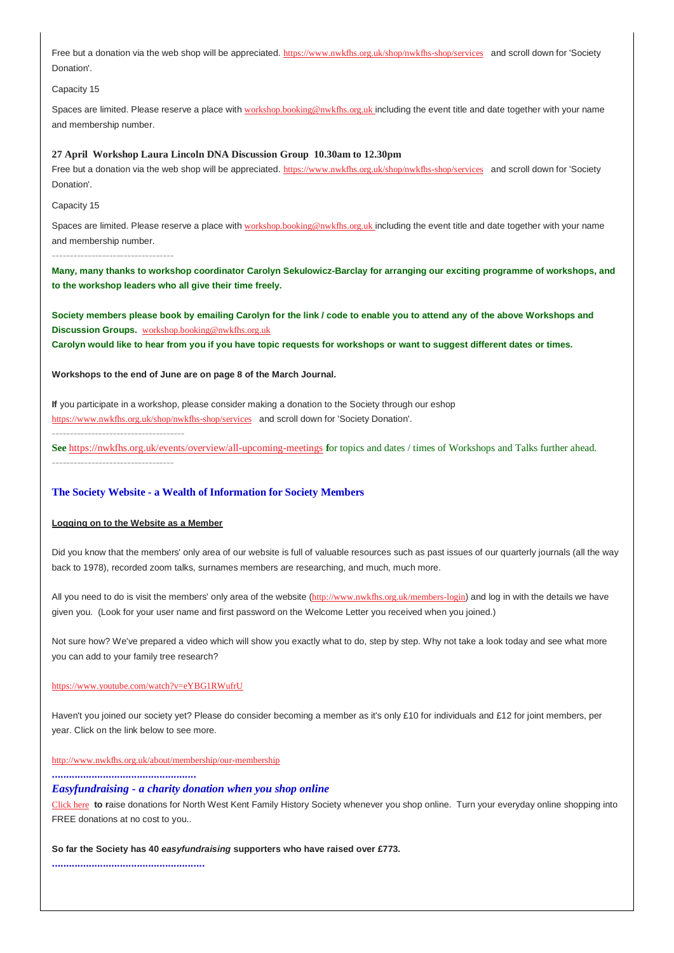Free but a donation via the web shop will be appreciated. [https://www.nwkfhs.org.uk/shop/nwkfhs-shop/services](https://nwkfhs.us4.list-manage.com/track/click?u=cde10858510442d6e71f0f3a6&id=b778c362a2&e=a709ee61ff) and scroll down for 'Society Donation'.

Capacity 15

Spaces are limited. Please reserve a place with [workshop.booking@nwkfhs.org.uk](mailto:workshop.booking@nwkfhs.org.uk?subject=20%20April%20Scottish%20Interest%20group) including the event title and date together with your name and membership number.

#### **27 April Workshop Laura Lincoln DNA Discussion Group 10.30am to 12.30pm**

Free but a donation via the web shop will be appreciated. [https://www.nwkfhs.org.uk/shop/nwkfhs-shop/services](https://nwkfhs.us4.list-manage.com/track/click?u=cde10858510442d6e71f0f3a6&id=968a6b24e8&e=a709ee61ff) and scroll down for 'Society Donation'.

Capacity 15

Spaces are limited. Please reserve a place with [workshop.booking@nwkfhs.org.uk](mailto:workshop.booking@nwkfhs.org.uk?subject=27%20April%20DNA%20Discussion) including the event title and date together with your name and membership number.

**----------------------------------**

**Many, many thanks to workshop coordinator Carolyn Sekulowicz-Barclay for arranging our exciting programme of workshops, and to the workshop leaders who all give their time freely.**

**Society members please book by emailing Carolyn for the link / code to enable you to attend any of the above Workshops and Discussion Groups.** [workshop.booking@nwkfhs.org.uk](mailto:workshop.booking@nwkfhs.org.uk?subject=NWKFHS%20Workshops)

**Carolyn would like to hear from you if you have topic requests for workshops or want to suggest different dates or times.**

#### **Workshops to the end of June are on page 8 of the March Journal.**

**If** you participate in a workshop, please consider making a donation to the Society through our eshop [https://www.nwkfhs.org.uk/shop/nwkfhs-shop/services](https://nwkfhs.us4.list-manage.com/track/click?u=cde10858510442d6e71f0f3a6&id=e1e9e2592f&e=a709ee61ff) and scroll down for 'Society Donation'.

**-------------------------------------**

**See** [https://nwkfhs.org.uk/events/overview/all-upcoming-meetings](https://nwkfhs.us4.list-manage.com/track/click?u=cde10858510442d6e71f0f3a6&id=66e1f099ca&e=a709ee61ff) **f**or topics and dates / times of Workshops and Talks further ahead. **----------------------------------**

### **The Society Website - a Wealth of Information for Society Members**

#### **Logging on to the Website as a Member**

Did you know that the members' only area of our website is full of valuable resources such as past issues of our quarterly journals (all the way back to 1978), recorded zoom talks, surnames members are researching, and much, much more.

All you need to do is visit the members' only area of the website ([http://www.nwkfhs.org.uk/members-login](https://nwkfhs.us4.list-manage.com/track/click?u=cde10858510442d6e71f0f3a6&id=ca27a77645&e=a709ee61ff)) and log in with the details we have given you. (Look for your user name and first password on the Welcome Letter you received when you joined.)

Not sure how? We've prepared a video which will show you exactly what to do, step by step. Why not take a look today and see what more you can add to your family tree research?

#### [https://www.youtube.com/watch?v=eYBG1RWufrU](https://nwkfhs.us4.list-manage.com/track/click?u=cde10858510442d6e71f0f3a6&id=7b5816e5ac&e=a709ee61ff)

Haven't you joined our society yet? Please do consider becoming a member as it's only £10 for individuals and £12 for joint members, per year. Click on the link below to see more.

[http://www.nwkfhs.org.uk/about/membership/our-membership](https://nwkfhs.us4.list-manage.com/track/click?u=cde10858510442d6e71f0f3a6&id=a0b23ef680&e=a709ee61ff)

**...................................................**

## *Easyfundraising - a charity donation when you shop online*

[Click here](https://nwkfhs.us4.list-manage.com/track/click?u=cde10858510442d6e71f0f3a6&id=538989b49f&e=a709ee61ff) **to r**aise donations for North West Kent Family History Society whenever you shop online. Turn your everyday online shopping into FREE donations at no cost to you..

#### **So far the Society has 40** *easyfundraising* **supporters who have raised over £773.**

**......................................................**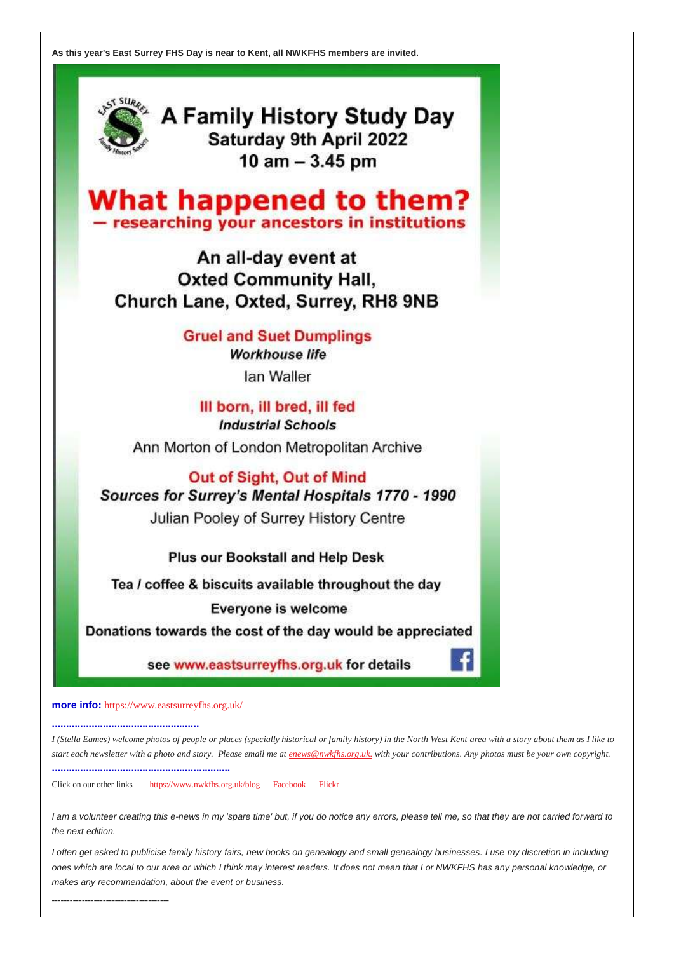**As this year's East Surrey FHS Day is near to Kent, all NWKFHS members are invited.**



A Family History Study Day Saturday 9th April 2022 10  $am - 3.45$  pm

**What happened to them?** - researching your ancestors in institutions

An all-day event at **Oxted Community Hall,** Church Lane, Oxted, Surrey, RH8 9NB

> **Gruel and Suet Dumplings Workhouse life** lan Waller

III born, ill bred, ill fed **Industrial Schools** Ann Morton of London Metropolitan Archive

Out of Sight, Out of Mind Sources for Surrey's Mental Hospitals 1770 - 1990 Julian Pooley of Surrey History Centre

Plus our Bookstall and Help Desk

Tea / coffee & biscuits available throughout the day

**Everyone is welcome** 

Donations towards the cost of the day would be appreciated

see www.eastsurreyfhs.org.uk for details

**more info:** [https://www.eastsurreyfhs.org.uk/](https://nwkfhs.us4.list-manage.com/track/click?u=cde10858510442d6e71f0f3a6&id=c673e5bc66&e=a709ee61ff)

**....................................................**

*I (Stella Eames) welcome photos of people or places (specially historical or family history) in the North West Kent area with a story about them as I like to start each newsletter with a photo and story. Please email me at [enews@nwkfhs.org.uk.](mailto:enews@nwkfhs.org.uk) with your contributions. Any photos must be your own copyright.* **...............................................................**

Click on our other links [https://www.nwkfhs.org.uk/blog](https://nwkfhs.us4.list-manage.com/track/click?u=cde10858510442d6e71f0f3a6&id=a05570620c&e=a709ee61ff) [Facebook](https://nwkfhs.us4.list-manage.com/track/click?u=cde10858510442d6e71f0f3a6&id=3715a169bb&e=a709ee61ff) [Flickr](https://nwkfhs.us4.list-manage.com/track/click?u=cde10858510442d6e71f0f3a6&id=c65a094613&e=a709ee61ff)

*I am a volunteer creating this e-news in my 'spare time' but, if you do notice any errors, please tell me, so that they are not carried forward to the next edition.*

*I often get asked to publicise family history fairs, new books on genealogy and small genealogy businesses. I use my discretion in including ones which are local to our area or which I think may interest readers. It does not mean that I or NWKFHS has any personal knowledge, or makes any recommendation, about the event or business.*

**---------------------------------------**